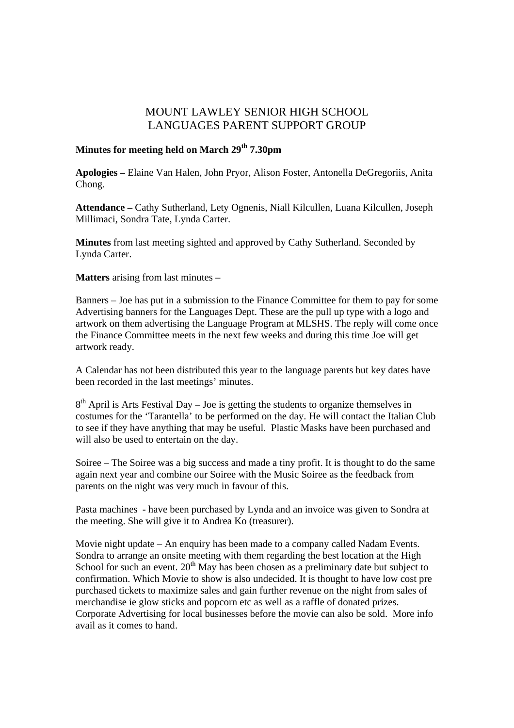## MOUNT LAWLEY SENIOR HIGH SCHOOL LANGUAGES PARENT SUPPORT GROUP

## **Minutes for meeting held on March 29th 7.30pm**

**Apologies –** Elaine Van Halen, John Pryor, Alison Foster, Antonella DeGregoriis, Anita Chong.

**Attendance –** Cathy Sutherland, Lety Ognenis, Niall Kilcullen, Luana Kilcullen, Joseph Millimaci, Sondra Tate, Lynda Carter.

**Minutes** from last meeting sighted and approved by Cathy Sutherland. Seconded by Lynda Carter.

**Matters** arising from last minutes –

Banners – Joe has put in a submission to the Finance Committee for them to pay for some Advertising banners for the Languages Dept. These are the pull up type with a logo and artwork on them advertising the Language Program at MLSHS. The reply will come once the Finance Committee meets in the next few weeks and during this time Joe will get artwork ready.

A Calendar has not been distributed this year to the language parents but key dates have been recorded in the last meetings' minutes.

 $8<sup>th</sup>$  April is Arts Festival Day – Joe is getting the students to organize themselves in costumes for the 'Tarantella' to be performed on the day. He will contact the Italian Club to see if they have anything that may be useful. Plastic Masks have been purchased and will also be used to entertain on the day.

Soiree – The Soiree was a big success and made a tiny profit. It is thought to do the same again next year and combine our Soiree with the Music Soiree as the feedback from parents on the night was very much in favour of this.

Pasta machines - have been purchased by Lynda and an invoice was given to Sondra at the meeting. She will give it to Andrea Ko (treasurer).

Movie night update – An enquiry has been made to a company called Nadam Events. Sondra to arrange an onsite meeting with them regarding the best location at the High School for such an event.  $20<sup>th</sup>$  May has been chosen as a preliminary date but subject to confirmation. Which Movie to show is also undecided. It is thought to have low cost pre purchased tickets to maximize sales and gain further revenue on the night from sales of merchandise ie glow sticks and popcorn etc as well as a raffle of donated prizes. Corporate Advertising for local businesses before the movie can also be sold. More info avail as it comes to hand.